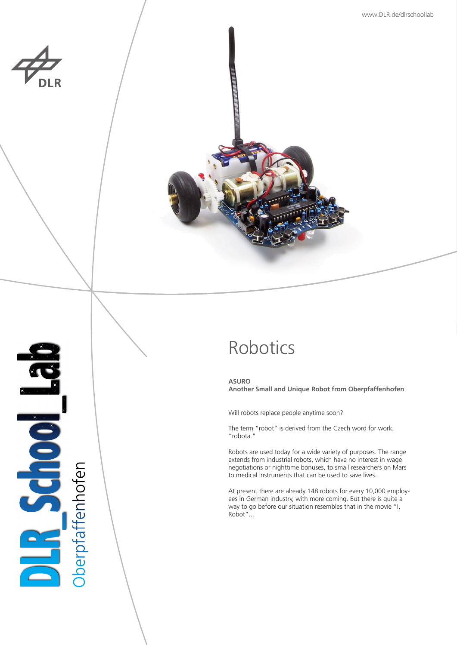

**PASCHOOP** 

**Oberpfaffenhofen** 



# Robotics

**ASURO Another Small and Unique Robot from Oberpfaffenhofen**

Will robots replace people anytime soon?

The term "robot" is derived from the Czech word for work, "robota."

Robots are used today for a wide variety of purposes. The range extends from industrial robots, which have no interest in wage negotiations or nighttime bonuses, to small researchers on Mars to medical instruments that can be used to save lives.

At present there are already 148 robots for every 10,000 employees in German industry, with more coming. But there is quite a way to go before our situation resembles that in the movie "I, Robot"...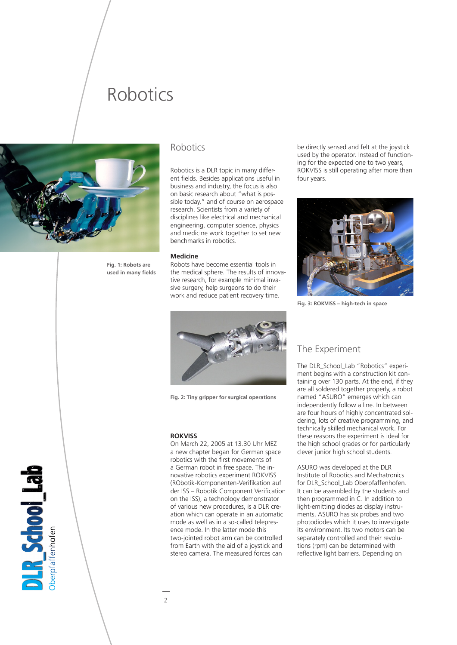## Robotics



**Fig. 1: Robots are used in many fields** 

### Robotics

Robotics is a DLR topic in many different fields. Besides applications useful in business and industry, the focus is also on basic research about "what is possible today," and of course on aerospace research. Scientists from a variety of disciplines like electrical and mechanical engineering, computer science, physics and medicine work together to set new benchmarks in robotics.

#### **Medicine**

Robots have become essential tools in the medical sphere. The results of innovative research, for example minimal invasive surgery, help surgeons to do their work and reduce patient recovery time.



**Fig. 2: Tiny gripper for surgical operations**

#### **ROKVISS**

On March 22, 2005 at 13.30 Uhr MEZ a new chapter began for German space robotics with the first movements of a German robot in free space. The innovative robotics experiment ROKVISS (RObotik-Komponenten-Verifikation auf der ISS – Robotik Component Verification on the ISS), a technology demonstrator of various new procedures, is a DLR creation which can operate in an automatic mode as well as in a so-called telepresence mode. In the latter mode this two-jointed robot arm can be controlled from Earth with the aid of a joystick and stereo camera. The measured forces can

be directly sensed and felt at the joystick used by the operator. Instead of functioning for the expected one to two years, ROKVISS is still operating after more than four years.



**Fig. 3: ROKVISS – high-tech in space**

## The Experiment

The DLR\_School\_Lab "Robotics" experiment begins with a construction kit containing over 130 parts. At the end, if they are all soldered together properly, a robot named "ASURO" emerges which can independently follow a line. In between are four hours of highly concentrated soldering, lots of creative programming, and technically skilled mechanical work. For these reasons the experiment is ideal for the high school grades or for particularly clever junior high school students.

ASURO was developed at the DLR Institute of Robotics and Mechatronics for DLR\_School\_Lab Oberpfaffenhofen. It can be assembled by the students and then programmed in C. In addition to light-emitting diodes as display instruments, ASURO has six probes and two photodiodes which it uses to investigate its environment. Its two motors can be separately controlled and their revolutions (rpm) can be determined with reflective light barriers. Depending on

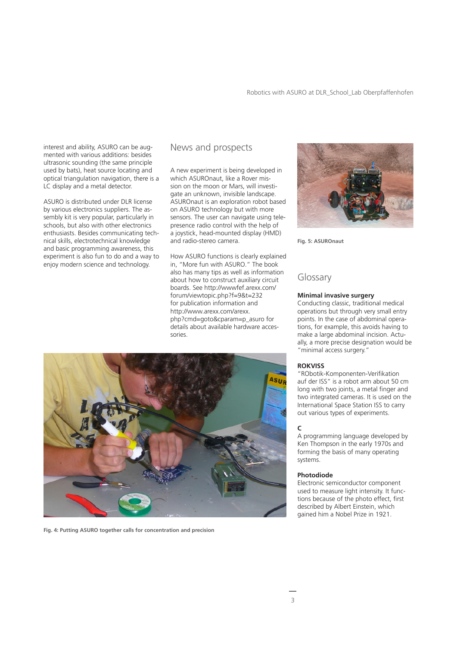interest and ability, ASURO can be augmented with various additions: besides ultrasonic sounding (the same principle used by bats), heat source locating and optical triangulation navigation, there is a LC display and a metal detector.

ASURO is distributed under DLR license by various electronics suppliers. The assembly kit is very popular, particularly in schools, but also with other electronics enthusiasts. Besides communicating technical skills, electrotechnical knowledge and basic programming awareness, this experiment is also fun to do and a way to enjoy modern science and technology.

## News and prospects

A new experiment is being developed in which ASUROnaut, like a Rover mission on the moon or Mars, will investigate an unknown, invisible landscape. ASUROnaut is an exploration robot based on ASURO technology but with more sensors. The user can navigate using telepresence radio control with the help of a joystick, head-mounted display (HMD) and radio-stereo camera.

How ASURO functions is clearly explained in, "More fun with ASURO." The book also has many tips as well as information about how to construct auxiliary circuit boards. See http://wwwfef.arexx.com/ forum/viewtopic.php?f=9&t=232 for publication information and http://www.arexx.com/arexx. php?cmd=goto&cparam=p\_asuro for details about available hardware accessories.



**Fig. 4: Putting ASURO together calls for concentration and precision** 



**Fig. 5: ASUROnaut**

## Glossary

#### **Minimal invasive surgery**

Conducting classic, traditional medical operations but through very small entry points. In the case of abdominal operations, for example, this avoids having to make a large abdominal incision. Actually, a more precise designation would be "minimal access surgery."

#### **ROKVISS**

"RObotik-Komponenten-Verifikation auf der ISS" is a robot arm about 50 cm long with two joints, a metal finger and two integrated cameras. It is used on the International Space Station ISS to carry out various types of experiments.

#### **C**

A programming language developed by Ken Thompson in the early 1970s and forming the basis of many operating systems.

#### **Photodiode**

Electronic semiconductor component used to measure light intensity. It functions because of the photo effect, first described by Albert Einstein, which gained him a Nobel Prize in 1921.